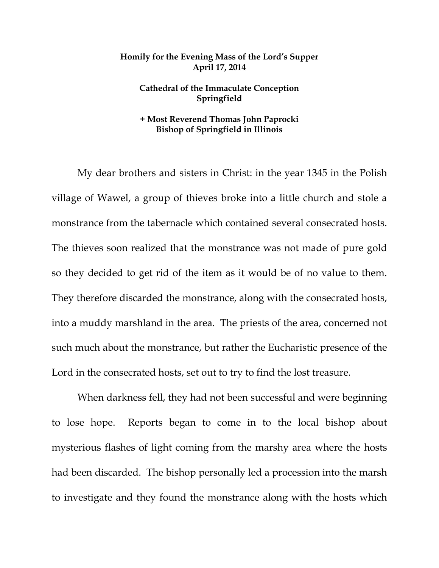## **Homily for the Evening Mass of the Lord's Supper April 17, 2014**

## **Cathedral of the Immaculate Conception Springfield**

## **+ Most Reverend Thomas John Paprocki Bishop of Springfield in Illinois**

My dear brothers and sisters in Christ: in the year 1345 in the Polish village of Wawel, a group of thieves broke into a little church and stole a monstrance from the tabernacle which contained several consecrated hosts. The thieves soon realized that the monstrance was not made of pure gold so they decided to get rid of the item as it would be of no value to them. They therefore discarded the monstrance, along with the consecrated hosts, into a muddy marshland in the area. The priests of the area, concerned not such much about the monstrance, but rather the Eucharistic presence of the Lord in the consecrated hosts, set out to try to find the lost treasure.

 When darkness fell, they had not been successful and were beginning to lose hope. Reports began to come in to the local bishop about mysterious flashes of light coming from the marshy area where the hosts had been discarded. The bishop personally led a procession into the marsh to investigate and they found the monstrance along with the hosts which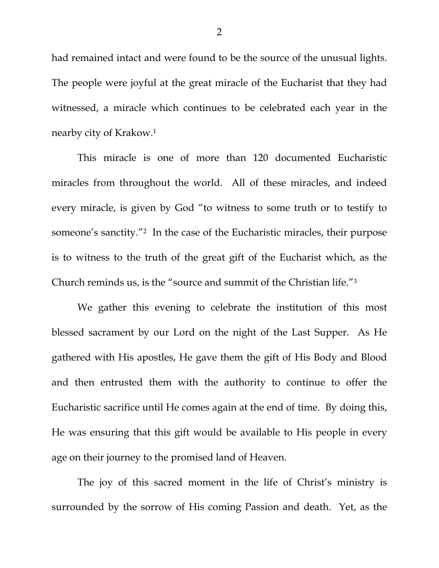had remained intact and were found to be the source of the unusual lights. The people were joyful at the great miracle of the Eucharist that they had witnessed, a miracle which continues to be celebrated each year in the nearby city of Krakow.1

 This miracle is one of more than 120 documented Eucharistic miracles from throughout the world. All of these miracles, and indeed every miracle, is given by God "to witness to some truth or to testify to someone's sanctity."2 In the case of the Eucharistic miracles, their purpose is to witness to the truth of the great gift of the Eucharist which, as the Church reminds us, is the "source and summit of the Christian life."3

 We gather this evening to celebrate the institution of this most blessed sacrament by our Lord on the night of the Last Supper. As He gathered with His apostles, He gave them the gift of His Body and Blood and then entrusted them with the authority to continue to offer the Eucharistic sacrifice until He comes again at the end of time. By doing this, He was ensuring that this gift would be available to His people in every age on their journey to the promised land of Heaven.

 The joy of this sacred moment in the life of Christ's ministry is surrounded by the sorrow of His coming Passion and death. Yet, as the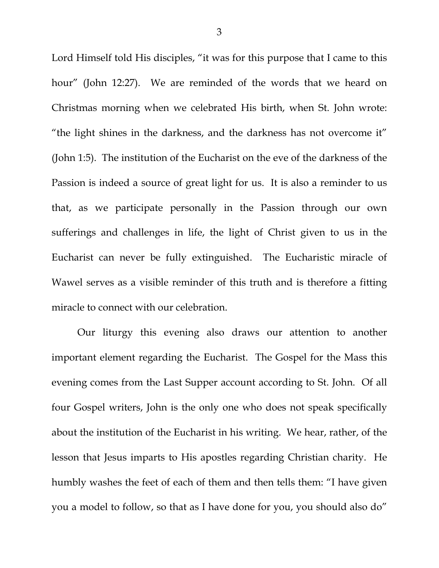Lord Himself told His disciples, "it was for this purpose that I came to this hour" (John 12:27). We are reminded of the words that we heard on Christmas morning when we celebrated His birth, when St. John wrote: "the light shines in the darkness, and the darkness has not overcome it" (John 1:5). The institution of the Eucharist on the eve of the darkness of the Passion is indeed a source of great light for us. It is also a reminder to us that, as we participate personally in the Passion through our own sufferings and challenges in life, the light of Christ given to us in the Eucharist can never be fully extinguished. The Eucharistic miracle of Wawel serves as a visible reminder of this truth and is therefore a fitting miracle to connect with our celebration.

 Our liturgy this evening also draws our attention to another important element regarding the Eucharist. The Gospel for the Mass this evening comes from the Last Supper account according to St. John. Of all four Gospel writers, John is the only one who does not speak specifically about the institution of the Eucharist in his writing. We hear, rather, of the lesson that Jesus imparts to His apostles regarding Christian charity. He humbly washes the feet of each of them and then tells them: "I have given you a model to follow, so that as I have done for you, you should also do"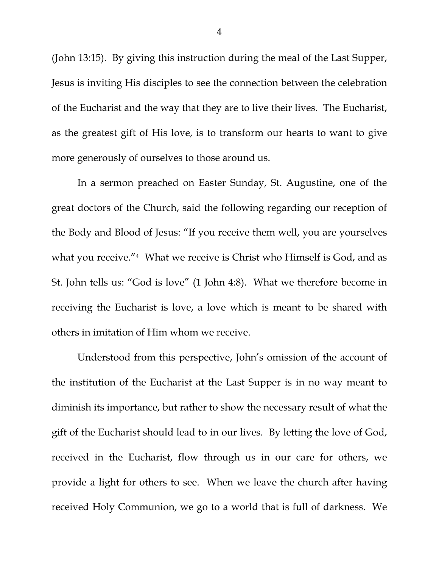(John 13:15). By giving this instruction during the meal of the Last Supper, Jesus is inviting His disciples to see the connection between the celebration of the Eucharist and the way that they are to live their lives. The Eucharist, as the greatest gift of His love, is to transform our hearts to want to give more generously of ourselves to those around us.

 In a sermon preached on Easter Sunday, St. Augustine, one of the great doctors of the Church, said the following regarding our reception of the Body and Blood of Jesus: "If you receive them well, you are yourselves what you receive."4 What we receive is Christ who Himself is God, and as St. John tells us: "God is love" (1 John 4:8). What we therefore become in receiving the Eucharist is love, a love which is meant to be shared with others in imitation of Him whom we receive.

 Understood from this perspective, John's omission of the account of the institution of the Eucharist at the Last Supper is in no way meant to diminish its importance, but rather to show the necessary result of what the gift of the Eucharist should lead to in our lives. By letting the love of God, received in the Eucharist, flow through us in our care for others, we provide a light for others to see. When we leave the church after having received Holy Communion, we go to a world that is full of darkness. We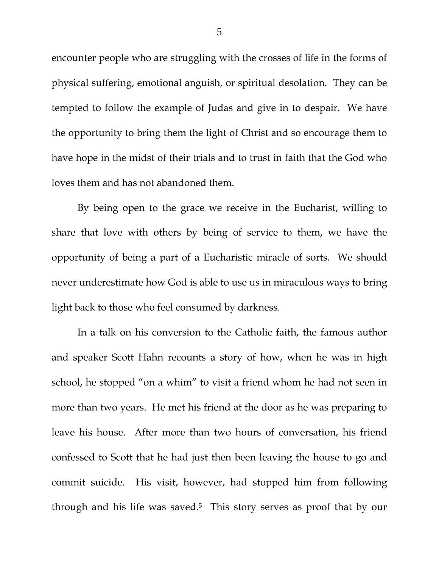encounter people who are struggling with the crosses of life in the forms of physical suffering, emotional anguish, or spiritual desolation. They can be tempted to follow the example of Judas and give in to despair. We have the opportunity to bring them the light of Christ and so encourage them to have hope in the midst of their trials and to trust in faith that the God who loves them and has not abandoned them.

 By being open to the grace we receive in the Eucharist, willing to share that love with others by being of service to them, we have the opportunity of being a part of a Eucharistic miracle of sorts. We should never underestimate how God is able to use us in miraculous ways to bring light back to those who feel consumed by darkness.

In a talk on his conversion to the Catholic faith, the famous author and speaker Scott Hahn recounts a story of how, when he was in high school, he stopped "on a whim" to visit a friend whom he had not seen in more than two years. He met his friend at the door as he was preparing to leave his house. After more than two hours of conversation, his friend confessed to Scott that he had just then been leaving the house to go and commit suicide. His visit, however, had stopped him from following through and his life was saved.5 This story serves as proof that by our